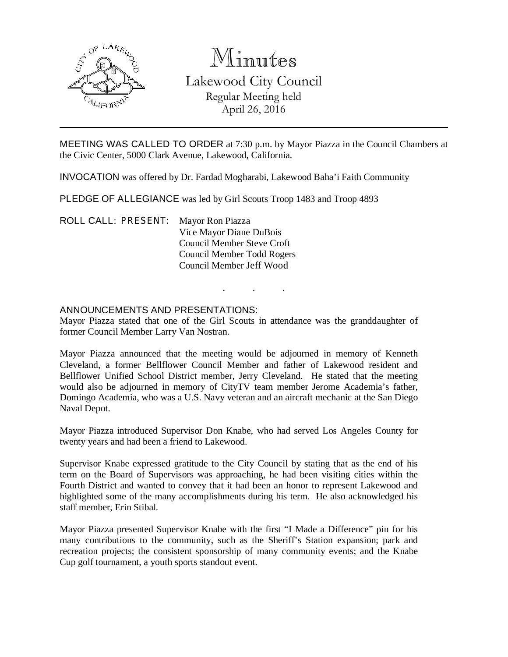

# Minutes Lakewood City Council Regular Meeting held April 26, 2016

MEETING WAS CALLED TO ORDER at 7:30 p.m. by Mayor Piazza in the Council Chambers at the Civic Center, 5000 Clark Avenue, Lakewood, California.

INVOCATION was offered by Dr. Fardad Mogharabi, Lakewood Baha'i Faith Community

PLEDGE OF ALLEGIANCE was led by Girl Scouts Troop 1483 and Troop 4893

ROLL CALL: PRESENT: Mayor Ron Piazza Vice Mayor Diane DuBois Council Member Steve Croft Council Member Todd Rogers Council Member Jeff Wood

## ANNOUNCEMENTS AND PRESENTATIONS:

Mayor Piazza stated that one of the Girl Scouts in attendance was the granddaughter of former Council Member Larry Van Nostran.

. . .

Mayor Piazza announced that the meeting would be adjourned in memory of Kenneth Cleveland, a former Bellflower Council Member and father of Lakewood resident and Bellflower Unified School District member, Jerry Cleveland. He stated that the meeting would also be adjourned in memory of CityTV team member Jerome Academia's father, Domingo Academia, who was a U.S. Navy veteran and an aircraft mechanic at the San Diego Naval Depot.

Mayor Piazza introduced Supervisor Don Knabe, who had served Los Angeles County for twenty years and had been a friend to Lakewood.

Supervisor Knabe expressed gratitude to the City Council by stating that as the end of his term on the Board of Supervisors was approaching, he had been visiting cities within the Fourth District and wanted to convey that it had been an honor to represent Lakewood and highlighted some of the many accomplishments during his term. He also acknowledged his staff member, Erin Stibal.

Mayor Piazza presented Supervisor Knabe with the first "I Made a Difference" pin for his many contributions to the community, such as the Sheriff's Station expansion; park and recreation projects; the consistent sponsorship of many community events; and the Knabe Cup golf tournament, a youth sports standout event.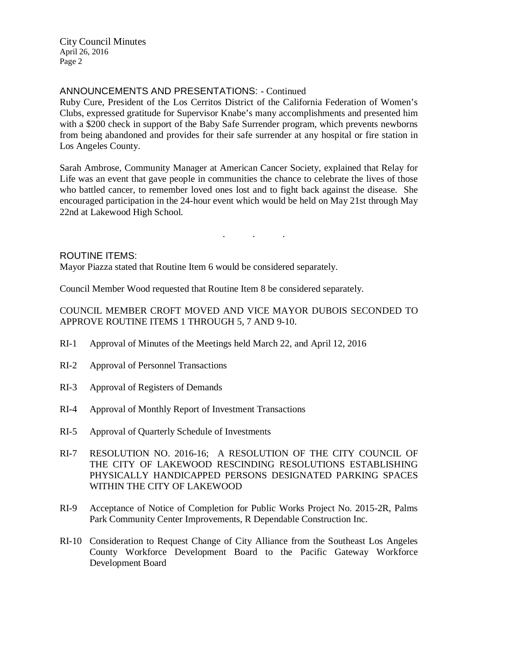City Council Minutes April 26, 2016 Page 2

# ANNOUNCEMENTS AND PRESENTATIONS: - Continued

Ruby Cure, President of the Los Cerritos District of the California Federation of Women's Clubs, expressed gratitude for Supervisor Knabe's many accomplishments and presented him with a \$200 check in support of the Baby Safe Surrender program, which prevents newborns from being abandoned and provides for their safe surrender at any hospital or fire station in Los Angeles County.

Sarah Ambrose, Community Manager at American Cancer Society, explained that Relay for Life was an event that gave people in communities the chance to celebrate the lives of those who battled cancer, to remember loved ones lost and to fight back against the disease. She encouraged participation in the 24-hour event which would be held on May 21st through May 22nd at Lakewood High School.

. . .

### ROUTINE ITEMS:

Mayor Piazza stated that Routine Item 6 would be considered separately.

Council Member Wood requested that Routine Item 8 be considered separately.

COUNCIL MEMBER CROFT MOVED AND VICE MAYOR DUBOIS SECONDED TO APPROVE ROUTINE ITEMS 1 THROUGH 5, 7 AND 9-10.

- RI-1 Approval of Minutes of the Meetings held March 22, and April 12, 2016
- RI-2 Approval of Personnel Transactions
- RI-3 Approval of Registers of Demands
- RI-4 Approval of Monthly Report of Investment Transactions
- RI-5 Approval of Quarterly Schedule of Investments
- RI-7 RESOLUTION NO. 2016-16; A RESOLUTION OF THE CITY COUNCIL OF THE CITY OF LAKEWOOD RESCINDING RESOLUTIONS ESTABLISHING PHYSICALLY HANDICAPPED PERSONS DESIGNATED PARKING SPACES WITHIN THE CITY OF LAKEWOOD
- RI-9 Acceptance of Notice of Completion for Public Works Project No. 2015-2R, Palms Park Community Center Improvements, R Dependable Construction Inc.
- RI-10 Consideration to Request Change of City Alliance from the Southeast Los Angeles County Workforce Development Board to the Pacific Gateway Workforce Development Board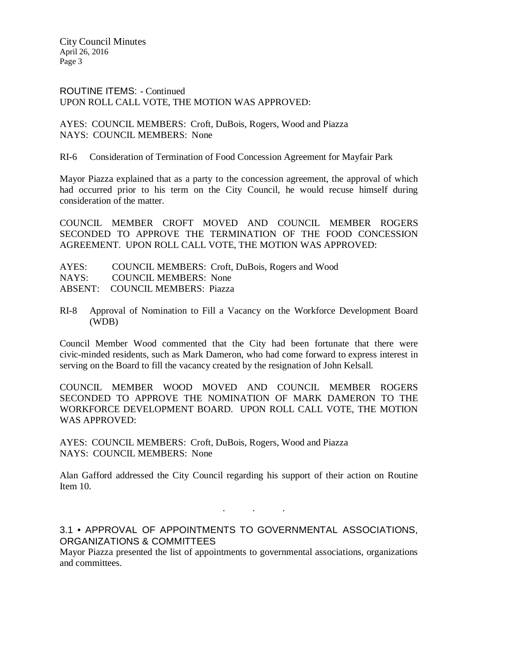City Council Minutes April 26, 2016 Page 3

ROUTINE ITEMS: - Continued UPON ROLL CALL VOTE, THE MOTION WAS APPROVED:

AYES: COUNCIL MEMBERS: Croft, DuBois, Rogers, Wood and Piazza NAYS: COUNCIL MEMBERS: None

RI-6 Consideration of Termination of Food Concession Agreement for Mayfair Park

Mayor Piazza explained that as a party to the concession agreement, the approval of which had occurred prior to his term on the City Council, he would recuse himself during consideration of the matter.

COUNCIL MEMBER CROFT MOVED AND COUNCIL MEMBER ROGERS SECONDED TO APPROVE THE TERMINATION OF THE FOOD CONCESSION AGREEMENT. UPON ROLL CALL VOTE, THE MOTION WAS APPROVED:

| AYES: | COUNCIL MEMBERS: Croft, DuBois, Rogers and Wood |
|-------|-------------------------------------------------|
|       | NAYS: COUNCIL MEMBERS: None                     |
|       | ABSENT: COUNCIL MEMBERS: Piazza                 |

RI-8 Approval of Nomination to Fill a Vacancy on the Workforce Development Board (WDB)

Council Member Wood commented that the City had been fortunate that there were civic-minded residents, such as Mark Dameron, who had come forward to express interest in serving on the Board to fill the vacancy created by the resignation of John Kelsall.

COUNCIL MEMBER WOOD MOVED AND COUNCIL MEMBER ROGERS SECONDED TO APPROVE THE NOMINATION OF MARK DAMERON TO THE WORKFORCE DEVELOPMENT BOARD. UPON ROLL CALL VOTE, THE MOTION WAS APPROVED:

AYES: COUNCIL MEMBERS: Croft, DuBois, Rogers, Wood and Piazza NAYS: COUNCIL MEMBERS: None

Alan Gafford addressed the City Council regarding his support of their action on Routine Item 10.

. . .

3.1 • APPROVAL OF APPOINTMENTS TO GOVERNMENTAL ASSOCIATIONS, ORGANIZATIONS & COMMITTEES

Mayor Piazza presented the list of appointments to governmental associations, organizations and committees.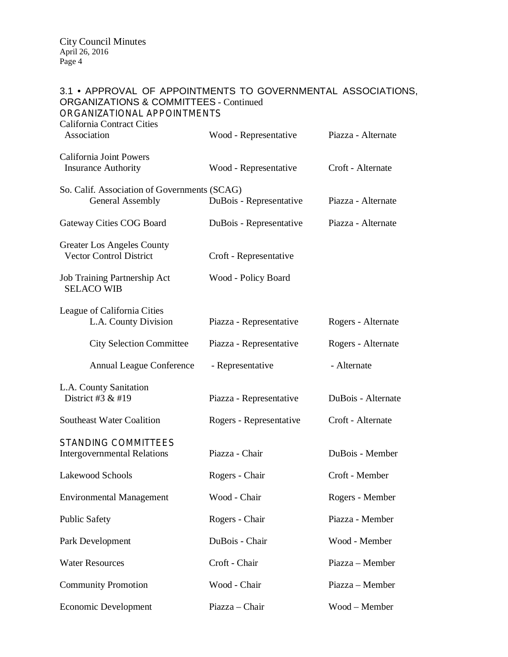# 3.1 • APPROVAL OF APPOINTMENTS TO GOVERNMENTAL ASSOCIATIONS, ORGANIZATIONS & COMMITTEES - Continued ORGANIZATIONAL APPOINTMENTS California Contract Cities Association Wood - Representative Piazza - Alternate California Joint Powers Insurance Authority Wood - Representative Croft - Alternate So. Calif. Association of Governments (SCAG) General Assembly DuBois - Representative Piazza - Alternate Gateway Cities COG Board DuBois - Representative Piazza - Alternate Greater Los Angeles County<br>Vector Control District Croft - Representative Job Training Partnership Act Wood - Policy Board SELACO WIB League of California Cities L.A. County Division Piazza - Representative Rogers - Alternate City Selection Committee Piazza - Representative Rogers - Alternate Annual League Conference - Representative - Alternate L.A. County Sanitation<br>District #3  $\&$  #19 Piazza - Representative DuBois - Alternate Southeast Water Coalition Rogers - Representative Croft - Alternate STANDING COMMITTEES Intergovernmental Relations Piazza - Chair DuBois - Member Lakewood Schools Rogers - Chair Croft - Member Environmental Management Wood - Chair Rogers - Member Public Safety Rogers - Chair Piazza - Member Park Development DuBois - Chair Wood - Member Water Resources Croft - Chair Piazza – Member Community Promotion Wood - Chair Piazza – Member

Economic Development Piazza – Chair Wood – Member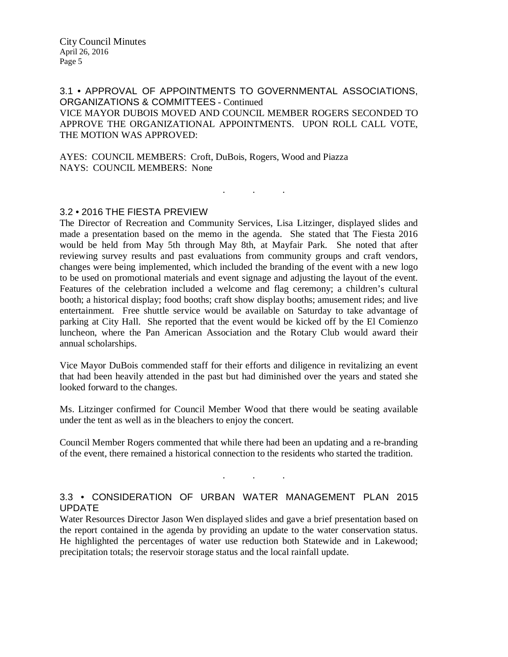3.1 • APPROVAL OF APPOINTMENTS TO GOVERNMENTAL ASSOCIATIONS, ORGANIZATIONS & COMMITTEES - Continued VICE MAYOR DUBOIS MOVED AND COUNCIL MEMBER ROGERS SECONDED TO APPROVE THE ORGANIZATIONAL APPOINTMENTS. UPON ROLL CALL VOTE, THE MOTION WAS APPROVED:

. . .

AYES: COUNCIL MEMBERS: Croft, DuBois, Rogers, Wood and Piazza NAYS: COUNCIL MEMBERS: None

# 3.2 • 2016 THE FIESTA PREVIEW

The Director of Recreation and Community Services, Lisa Litzinger, displayed slides and made a presentation based on the memo in the agenda. She stated that The Fiesta 2016 would be held from May 5th through May 8th, at Mayfair Park. She noted that after reviewing survey results and past evaluations from community groups and craft vendors, changes were being implemented, which included the branding of the event with a new logo to be used on promotional materials and event signage and adjusting the layout of the event. Features of the celebration included a welcome and flag ceremony; a children's cultural booth; a historical display; food booths; craft show display booths; amusement rides; and live entertainment. Free shuttle service would be available on Saturday to take advantage of parking at City Hall. She reported that the event would be kicked off by the El Comienzo luncheon, where the Pan American Association and the Rotary Club would award their annual scholarships.

Vice Mayor DuBois commended staff for their efforts and diligence in revitalizing an event that had been heavily attended in the past but had diminished over the years and stated she looked forward to the changes.

Ms. Litzinger confirmed for Council Member Wood that there would be seating available under the tent as well as in the bleachers to enjoy the concert.

Council Member Rogers commented that while there had been an updating and a re-branding of the event, there remained a historical connection to the residents who started the tradition.

. . .

# 3.3 • CONSIDERATION OF URBAN WATER MANAGEMENT PLAN 2015 UPDATE

Water Resources Director Jason Wen displayed slides and gave a brief presentation based on the report contained in the agenda by providing an update to the water conservation status. He highlighted the percentages of water use reduction both Statewide and in Lakewood; precipitation totals; the reservoir storage status and the local rainfall update.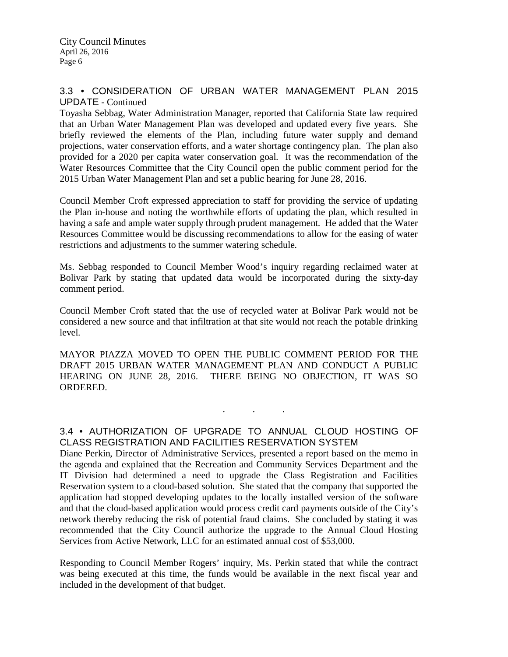## 3.3 • CONSIDERATION OF URBAN WATER MANAGEMENT PLAN 2015 UPDATE - Continued

Toyasha Sebbag, Water Administration Manager, reported that California State law required that an Urban Water Management Plan was developed and updated every five years. She briefly reviewed the elements of the Plan, including future water supply and demand projections, water conservation efforts, and a water shortage contingency plan. The plan also provided for a 2020 per capita water conservation goal. It was the recommendation of the Water Resources Committee that the City Council open the public comment period for the 2015 Urban Water Management Plan and set a public hearing for June 28, 2016.

Council Member Croft expressed appreciation to staff for providing the service of updating the Plan in-house and noting the worthwhile efforts of updating the plan, which resulted in having a safe and ample water supply through prudent management. He added that the Water Resources Committee would be discussing recommendations to allow for the easing of water restrictions and adjustments to the summer watering schedule.

Ms. Sebbag responded to Council Member Wood's inquiry regarding reclaimed water at Bolivar Park by stating that updated data would be incorporated during the sixty-day comment period.

Council Member Croft stated that the use of recycled water at Bolivar Park would not be considered a new source and that infiltration at that site would not reach the potable drinking level.

MAYOR PIAZZA MOVED TO OPEN THE PUBLIC COMMENT PERIOD FOR THE DRAFT 2015 URBAN WATER MANAGEMENT PLAN AND CONDUCT A PUBLIC HEARING ON JUNE 28, 2016. THERE BEING NO OBJECTION, IT WAS SO ORDERED.

# 3.4 • AUTHORIZATION OF UPGRADE TO ANNUAL CLOUD HOSTING OF CLASS REGISTRATION AND FACILITIES RESERVATION SYSTEM

. . .

Diane Perkin, Director of Administrative Services, presented a report based on the memo in the agenda and explained that the Recreation and Community Services Department and the IT Division had determined a need to upgrade the Class Registration and Facilities Reservation system to a cloud-based solution. She stated that the company that supported the application had stopped developing updates to the locally installed version of the software and that the cloud-based application would process credit card payments outside of the City's network thereby reducing the risk of potential fraud claims. She concluded by stating it was recommended that the City Council authorize the upgrade to the Annual Cloud Hosting Services from Active Network, LLC for an estimated annual cost of \$53,000.

Responding to Council Member Rogers' inquiry, Ms. Perkin stated that while the contract was being executed at this time, the funds would be available in the next fiscal year and included in the development of that budget.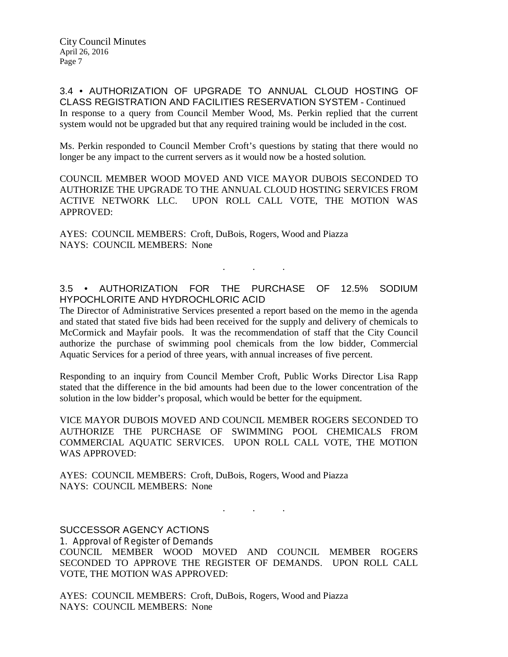3.4 • AUTHORIZATION OF UPGRADE TO ANNUAL CLOUD HOSTING OF CLASS REGISTRATION AND FACILITIES RESERVATION SYSTEM - Continued In response to a query from Council Member Wood, Ms. Perkin replied that the current system would not be upgraded but that any required training would be included in the cost.

Ms. Perkin responded to Council Member Croft's questions by stating that there would no longer be any impact to the current servers as it would now be a hosted solution.

COUNCIL MEMBER WOOD MOVED AND VICE MAYOR DUBOIS SECONDED TO AUTHORIZE THE UPGRADE TO THE ANNUAL CLOUD HOSTING SERVICES FROM ACTIVE NETWORK LLC. UPON ROLL CALL VOTE, THE MOTION WAS APPROVED:

AYES: COUNCIL MEMBERS: Croft, DuBois, Rogers, Wood and Piazza NAYS: COUNCIL MEMBERS: None

# 3.5 • AUTHORIZATION FOR THE PURCHASE OF 12.5% SODIUM HYPOCHLORITE AND HYDROCHLORIC ACID

. . .

The Director of Administrative Services presented a report based on the memo in the agenda and stated that stated five bids had been received for the supply and delivery of chemicals to McCormick and Mayfair pools. It was the recommendation of staff that the City Council authorize the purchase of swimming pool chemicals from the low bidder, Commercial Aquatic Services for a period of three years, with annual increases of five percent.

Responding to an inquiry from Council Member Croft, Public Works Director Lisa Rapp stated that the difference in the bid amounts had been due to the lower concentration of the solution in the low bidder's proposal, which would be better for the equipment.

VICE MAYOR DUBOIS MOVED AND COUNCIL MEMBER ROGERS SECONDED TO AUTHORIZE THE PURCHASE OF SWIMMING POOL CHEMICALS FROM COMMERCIAL AQUATIC SERVICES. UPON ROLL CALL VOTE, THE MOTION WAS APPROVED:

AYES: COUNCIL MEMBERS: Croft, DuBois, Rogers, Wood and Piazza NAYS: COUNCIL MEMBERS: None

SUCCESSOR AGENCY ACTIONS

1. Approval of Register of Demands COUNCIL MEMBER WOOD MOVED AND COUNCIL MEMBER ROGERS SECONDED TO APPROVE THE REGISTER OF DEMANDS. UPON ROLL CALL VOTE, THE MOTION WAS APPROVED:

. . .

AYES: COUNCIL MEMBERS: Croft, DuBois, Rogers, Wood and Piazza NAYS: COUNCIL MEMBERS: None